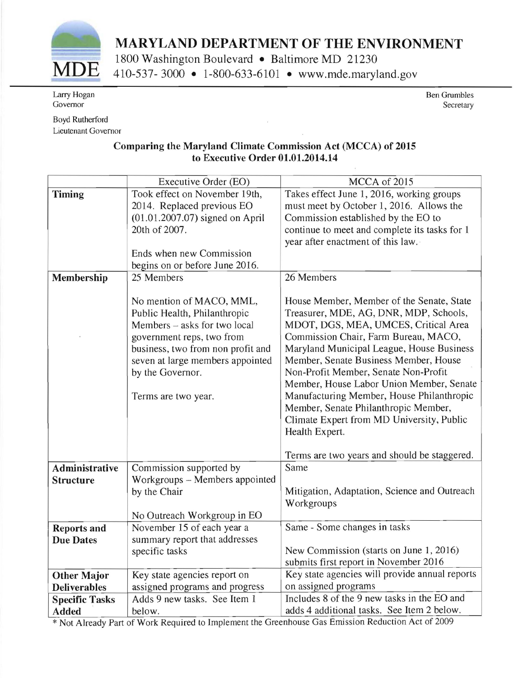

## **MARYLAND DEPARTMENT OF THE ENVIRONMENT**

1800 Washington Boulevard • Baltimore MD 21230<br>**MDE** 410-537- 3000 • 1-800-633-6101 • www.mde.maryland.gov

Larry Hogan Governor

Boyd Rutherford Lieutenant Governor Ben Grumbles Secretary

## Comparing the Maryland Climate Commission Act (MCCA) of 2015 to Executive Order 01.01.2014.14

|                       | Executive Order (EO)              | MCCA of 2015                                   |
|-----------------------|-----------------------------------|------------------------------------------------|
| <b>Timing</b>         | Took effect on November 19th,     | Takes effect June 1, 2016, working groups      |
|                       | 2014. Replaced previous EO        | must meet by October 1, 2016. Allows the       |
|                       | $(01.01.2007.07)$ signed on April | Commission established by the EO to            |
|                       | 20th of 2007.                     | continue to meet and complete its tasks for 1  |
|                       |                                   | year after enactment of this law.              |
|                       | Ends when new Commission          |                                                |
|                       | begins on or before June 2016.    |                                                |
| Membership            | 25 Members                        | 26 Members                                     |
|                       |                                   |                                                |
|                       | No mention of MACO, MML,          | House Member, Member of the Senate, State      |
|                       | Public Health, Philanthropic      | Treasurer, MDE, AG, DNR, MDP, Schools,         |
|                       | Members - asks for two local      | MDOT, DGS, MEA, UMCES, Critical Area           |
|                       | government reps, two from         | Commission Chair, Farm Bureau, MACO,           |
|                       | business, two from non profit and | Maryland Municipal League, House Business      |
|                       | seven at large members appointed  | Member, Senate Business Member, House          |
|                       | by the Governor.                  | Non-Profit Member, Senate Non-Profit           |
|                       |                                   | Member, House Labor Union Member, Senate       |
|                       | Terms are two year.               | Manufacturing Member, House Philanthropic      |
|                       |                                   | Member, Senate Philanthropic Member,           |
|                       |                                   | Climate Expert from MD University, Public      |
|                       |                                   | Health Expert.                                 |
|                       |                                   | Terms are two years and should be staggered.   |
| <b>Administrative</b> | Commission supported by           | Same                                           |
| <b>Structure</b>      | Workgroups - Members appointed    |                                                |
|                       | by the Chair                      | Mitigation, Adaptation, Science and Outreach   |
|                       |                                   | Workgroups                                     |
|                       | No Outreach Workgroup in EO       |                                                |
| <b>Reports and</b>    | November 15 of each year a        | Same - Some changes in tasks                   |
| <b>Due Dates</b>      | summary report that addresses     |                                                |
|                       | specific tasks                    | New Commission (starts on June 1, 2016)        |
|                       |                                   | submits first report in November 2016          |
| <b>Other Major</b>    | Key state agencies report on      | Key state agencies will provide annual reports |
| <b>Deliverables</b>   | assigned programs and progress    | on assigned programs                           |
| <b>Specific Tasks</b> | Adds 9 new tasks. See Item 1      | Includes 8 of the 9 new tasks in the EO and    |
| <b>Added</b>          | below.                            | adds 4 additional tasks. See Item 2 below.     |

\* Not Already Part of Work Required to Implement the Greenhouse Gas Emission Reduction Act of 2009